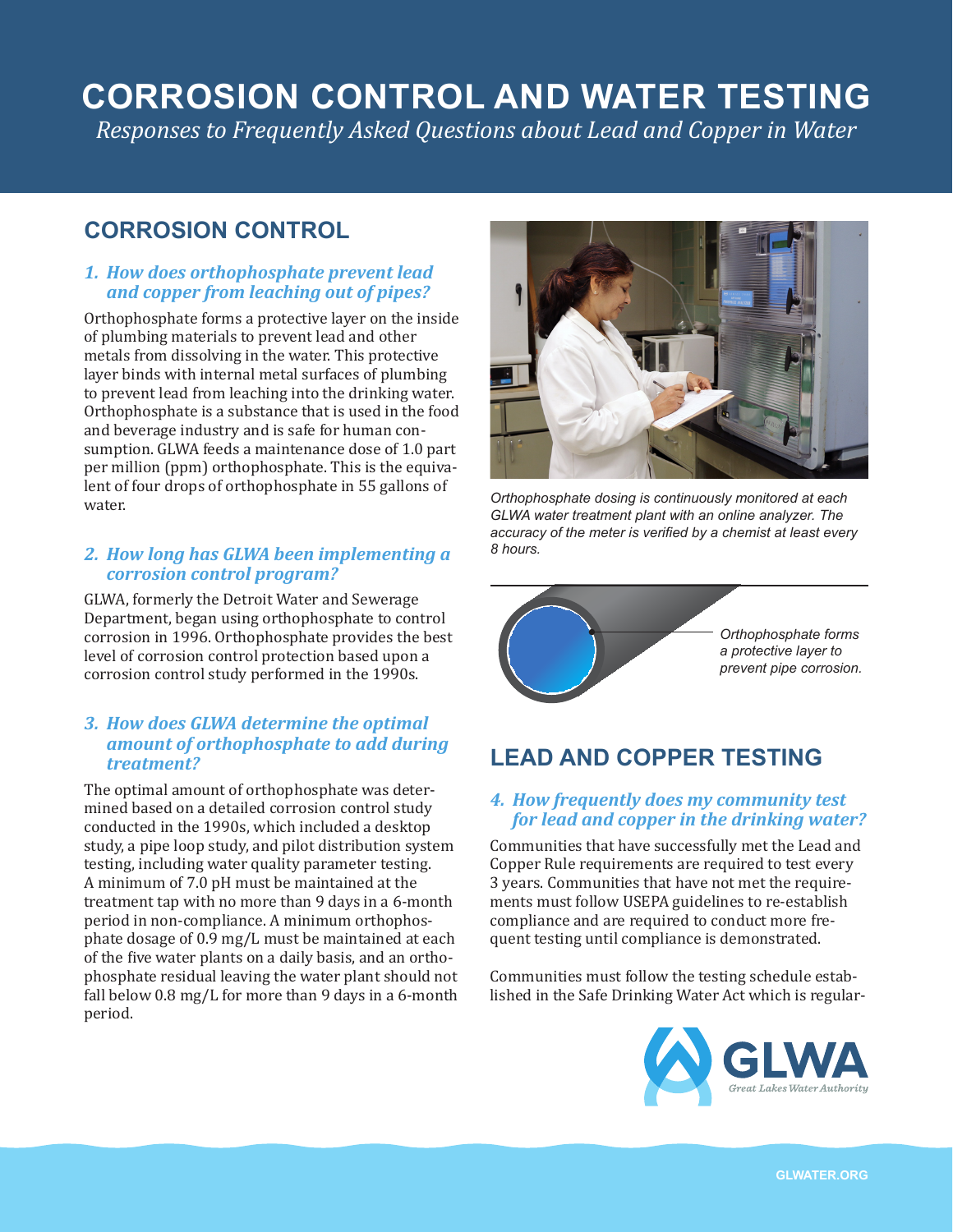# **CORROSION CONTROL AND WATER TESTING**

*Responses to Frequently Asked Questions about Lead and Copper in Water*

### **CORROSION CONTROL**

#### *1. How does orthophosphate prevent lead and copper from leaching out of pipes?*

Orthophosphate forms a protective layer on the inside of plumbing materials to prevent lead and other metals from dissolving in the water. This protective layer binds with internal metal surfaces of plumbing to prevent lead from leaching into the drinking water. Orthophosphate is a substance that is used in the food and beverage industry and is safe for human consumption. GLWA feeds a maintenance dose of 1.0 part per million (ppm) orthophosphate. This is the equivalent of four drops of orthophosphate in 55 gallons of water.

#### *2. How long has GLWA been implementing a corrosion control program?*

GLWA, formerly the Detroit Water and Sewerage Department, began using orthophosphate to control corrosion in 1996. Orthophosphate provides the best level of corrosion control protection based upon a corrosion control study performed in the 1990s.

#### *3. How does GLWA determine the optimal amount of orthophosphate to add during treatment?*

The optimal amount of orthophosphate was determined based on a detailed corrosion control study conducted in the 1990s, which included a desktop study, a pipe loop study, and pilot distribution system testing, including water quality parameter testing. A minimum of 7.0 pH must be maintained at the treatment tap with no more than 9 days in a 6-month period in non-compliance. A minimum orthophosphate dosage of 0.9 mg/L must be maintained at each of the five water plants on a daily basis, and an orthophosphate residual leaving the water plant should not fall below 0.8 mg/L for more than 9 days in a 6-month period.



*Orthophosphate dosing is continuously monitored at each GLWA water treatment plant with an online analyzer. The accuracy of the meter is verified by a chemist at least every 8 hours.*



## **LEAD AND COPPER TESTING**

#### *4. How frequently does my community test for lead and copper in the drinking water?*

Communities that have successfully met the Lead and Copper Rule requirements are required to test every 3 years. Communities that have not met the requirements must follow USEPA guidelines to re-establish compliance and are required to conduct more frequent testing until compliance is demonstrated.

Communities must follow the testing schedule established in the Safe Drinking Water Act which is regular-